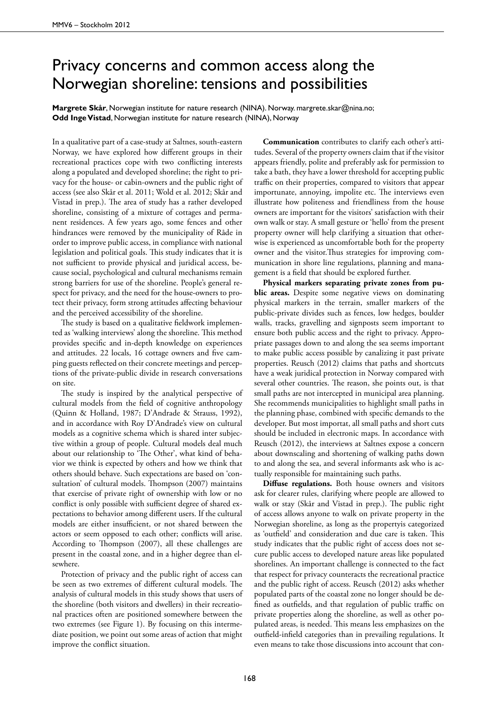## Privacy concerns and common access along the Norwegian shoreline: tensions and possibilities

**Margrete Skår**, Norwegian institute for nature research (NINA). Norway, margrete.skar@nina.no; **Odd Inge Vistad**, Norwegian institute for nature research (NINA), Norway

In a qualitative part of a case-study at Saltnes, south-eastern Norway, we have explored how different groups in their recreational practices cope with two conflicting interests along a populated and developed shoreline; the right to privacy for the house- or cabin-owners and the public right of access (see also Skår et al. 2011; Wold et al. 2012; Skår and Vistad in prep.). The area of study has a rather developed shoreline, consisting of a mixture of cottages and permanent residences. A few years ago, some fences and other hindrances were removed by the municipality of Råde in order to improve public access, in compliance with national legislation and political goals. This study indicates that it is not sufficient to provide physical and juridical access, because social, psychological and cultural mechanisms remain strong barriers for use of the shoreline. People's general respect for privacy, and the need for the house-owners to protect their privacy, form strong attitudes affecting behaviour and the perceived accessibility of the shoreline.

The study is based on a qualitative fieldwork implemented as 'walking interviews' along the shoreline. This method provides specific and in-depth knowledge on experiences and attitudes. 22 locals, 16 cottage owners and five camping guests reflected on their concrete meetings and perceptions of the private-public divide in research conversations on site.

The study is inspired by the analytical perspective of cultural models from the field of cognitive anthropology (Quinn & Holland, 1987; D'Andrade & Strauss, 1992), and in accordance with Roy D'Andrade's view on cultural models as a cognitive schema which is shared inter subjective within a group of people. Cultural models deal much about our relationship to 'The Other', what kind of behavior we think is expected by others and how we think that others should behave. Such expectations are based on 'consultation' of cultural models. Thompson (2007) maintains that exercise of private right of ownership with low or no conflict is only possible with sufficient degree of shared expectations to behavior among different users. If the cultural models are either insufficient, or not shared between the actors or seem opposed to each other; conflicts will arise. According to Thompson (2007), all these challenges are present in the coastal zone, and in a higher degree than elsewhere.

Protection of privacy and the public right of access can be seen as two extremes of different cultural models. The analysis of cultural models in this study shows that users of the shoreline (both visitors and dwellers) in their recreational practices often are positioned somewhere between the two extremes (see Figure 1). By focusing on this intermediate position, we point out some areas of action that might improve the conflict situation.

**Communication** contributes to clarify each other's attitudes. Several of the property owners claim that if the visitor appears friendly, polite and preferably ask for permission to take a bath, they have a lower threshold for accepting public traffic on their properties, compared to visitors that appear importunate, annoying, impolite etc. The interviews even illustrate how politeness and friendliness from the house owners are important for the visitors' satisfaction with their own walk or stay. A small gesture or 'hello' from the present property owner will help clarifying a situation that otherwise is experienced as uncomfortable both for the property owner and the visitor.Thus strategies for improving communication in shore line regulations, planning and management is a field that should be explored further.

**Physical markers separating private zones from public areas.** Despite some negative views on dominating physical markers in the terrain, smaller markers of the public-private divides such as fences, low hedges, boulder walls, tracks, gravelling and signposts seem important to ensure both public access and the right to privacy. Appropriate passages down to and along the sea seems important to make public access possible by canalizing it past private properties. Reusch (2012) claims that paths and shortcuts have a weak juridical protection in Norway compared with several other countries. The reason, she points out, is that small paths are not intercepted in municipal area planning. She recommends municipalities to highlight small paths in the planning phase, combined with specific demands to the developer. But most importat, all small paths and short cuts should be included in electronic maps. In accordance with Reusch (2012), the interviews at Saltnes expose a concern about downscaling and shortening of walking paths down to and along the sea, and several informants ask who is actually responsible for maintaining such paths.

**Diffuse regulations.** Both house owners and visitors ask for clearer rules, clarifying where people are allowed to walk or stay (Skår and Vistad in prep.). The public right of access allows anyone to walk on private property in the Norwegian shoreline, as long as the propertyis categorized as 'outfield' and consideration and due care is taken. This study indicates that the public right of access does not secure public access to developed nature areas like populated shorelines. An important challenge is connected to the fact that respect for privacy counteracts the recreational practice and the public right of access. Reusch (2012) asks whether populated parts of the coastal zone no longer should be defined as outfields, and that regulation of public traffic on private properties along the shoreline, as well as other populated areas, is needed. This means less emphasizes on the outfield-infield categories than in prevailing regulations. It even means to take those discussions into account that con-